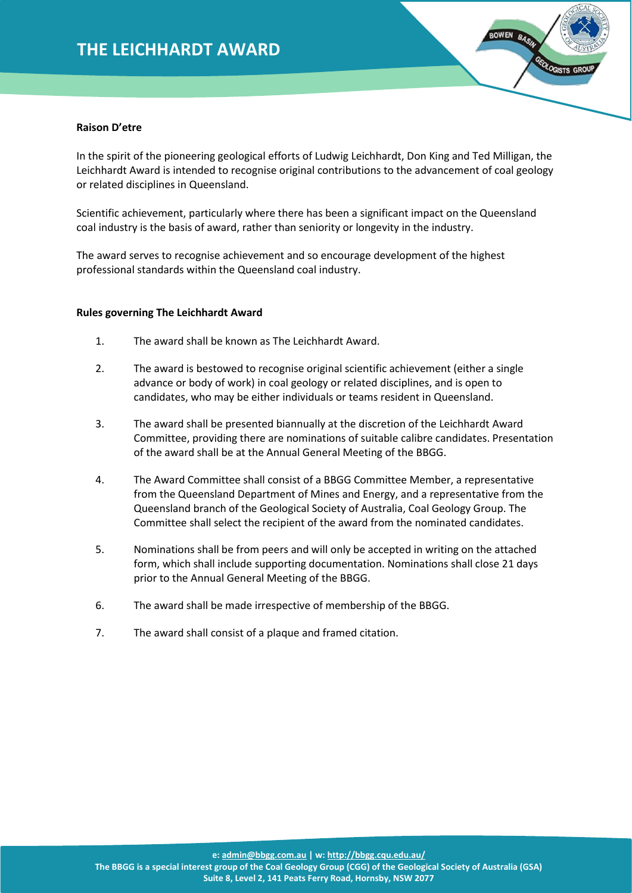## **THE LEICHHARDT AWARD**



#### **Raison D'etre**

In the spirit of the pioneering geological efforts of Ludwig Leichhardt, Don King and Ted Milligan, the Leichhardt Award is intended to recognise original contributions to the advancement of coal geology or related disciplines in Queensland.

Scientific achievement, particularly where there has been a significant impact on the Queensland coal industry is the basis of award, rather than seniority or longevity in the industry.

The award serves to recognise achievement and so encourage development of the highest professional standards within the Queensland coal industry.

#### **Rules governing The Leichhardt Award**

- 1. The award shall be known as The Leichhardt Award.
- 2. The award is bestowed to recognise original scientific achievement (either a single advance or body of work) in coal geology or related disciplines, and is open to candidates, who may be either individuals or teams resident in Queensland.
- 3. The award shall be presented biannually at the discretion of the Leichhardt Award Committee, providing there are nominations of suitable calibre candidates. Presentation of the award shall be at the Annual General Meeting of the BBGG.
- 4. The Award Committee shall consist of a BBGG Committee Member, a representative from the Queensland Department of Mines and Energy, and a representative from the Queensland branch of the Geological Society of Australia, Coal Geology Group. The Committee shall select the recipient of the award from the nominated candidates.
- 5. Nominations shall be from peers and will only be accepted in writing on the attached form, which shall include supporting documentation. Nominations shall close 21 days prior to the Annual General Meeting of the BBGG.
- 6. The award shall be made irrespective of membership of the BBGG.
- 7. The award shall consist of a plaque and framed citation.